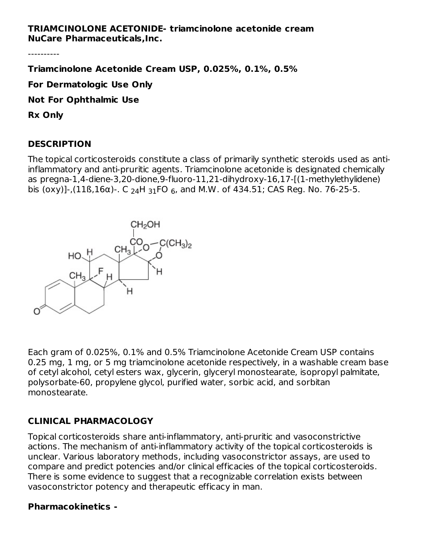#### **TRIAMCINOLONE ACETONIDE- triamcinolone acetonide cream NuCare Pharmaceuticals,Inc.**

----------

**Triamcinolone Acetonide Cream USP, 0.025%, 0.1%, 0.5%**

**For Dermatologic Use Only**

**Not For Ophthalmic Use**

**Rx Only**

#### **DESCRIPTION**

The topical corticosteroids constitute a class of primarily synthetic steroids used as antiinflammatory and anti-pruritic agents. Triamcinolone acetonide is designated chemically as pregna-1,4-diene-3,20-dione,9-fluoro-11,21-dihydroxy-16,17-[(1-methylethylidene) bis (oxy)]-,(11ß,16α)-. C <sub>24</sub>H <sub>31</sub>FO <sub>6</sub>, and M.W. of 434.51; CAS Reg. No. 76-25-5.



Each gram of 0.025%, 0.1% and 0.5% Triamcinolone Acetonide Cream USP contains 0.25 mg, 1 mg, or 5 mg triamcinolone acetonide respectively, in a washable cream base of cetyl alcohol, cetyl esters wax, glycerin, glyceryl monostearate, isopropyl palmitate, polysorbate-60, propylene glycol, purified water, sorbic acid, and sorbitan monostearate.

### **CLINICAL PHARMACOLOGY**

Topical corticosteroids share anti-inflammatory, anti-pruritic and vasoconstrictive actions. The mechanism of anti-inflammatory activity of the topical corticosteroids is unclear. Various laboratory methods, including vasoconstrictor assays, are used to compare and predict potencies and/or clinical efficacies of the topical corticosteroids. There is some evidence to suggest that a recognizable correlation exists between vasoconstrictor potency and therapeutic efficacy in man.

### **Pharmacokinetics -**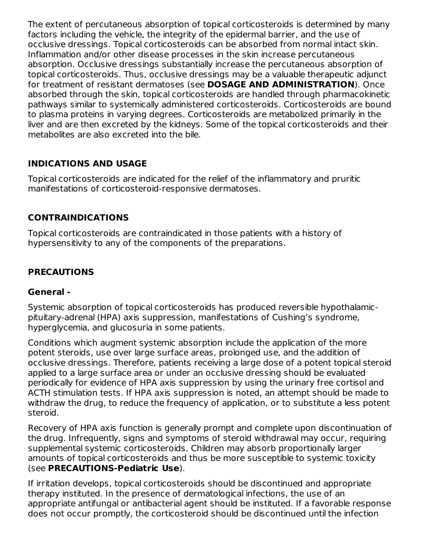The extent of percutaneous absorption of topical corticosteroids is determined by many factors including the vehicle, the integrity of the epidermal barrier, and the use of occlusive dressings. Topical corticosteroids can be absorbed from normal intact skin. Inflammation and/or other disease processes in the skin increase percutaneous absorption. Occlusive dressings substantially increase the percutaneous absorption of topical corticosteroids. Thus, occlusive dressings may be a valuable therapeutic adjunct for treatment of resistant dermatoses (see **DOSAGE AND ADMINISTRATION**). Once absorbed through the skin, topical corticosteroids are handled through pharmacokinetic pathways similar to systemically administered corticosteroids. Corticosteroids are bound to plasma proteins in varying degrees. Corticosteroids are metabolized primarily in the liver and are then excreted by the kidneys. Some of the topical corticosteroids and their metabolites are also excreted into the bile.

## **INDICATIONS AND USAGE**

Topical corticosteroids are indicated for the relief of the inflammatory and pruritic manifestations of corticosteroid-responsive dermatoses.

## **CONTRAINDICATIONS**

Topical corticosteroids are contraindicated in those patients with a history of hypersensitivity to any of the components of the preparations.

# **PRECAUTIONS**

## **General -**

Systemic absorption of topical corticosteroids has produced reversible hypothalamicpituitary-adrenal (HPA) axis suppression, manifestations of Cushing's syndrome, hyperglycemia, and glucosuria in some patients.

Conditions which augment systemic absorption include the application of the more potent steroids, use over large surface areas, prolonged use, and the addition of occlusive dressings. Therefore, patients receiving a large dose of a potent topical steroid applied to a large surface area or under an occlusive dressing should be evaluated periodically for evidence of HPA axis suppression by using the urinary free cortisol and ACTH stimulation tests. If HPA axis suppression is noted, an attempt should be made to withdraw the drug, to reduce the frequency of application, or to substitute a less potent steroid.

Recovery of HPA axis function is generally prompt and complete upon discontinuation of the drug. Infrequently, signs and symptoms of steroid withdrawal may occur, requiring supplemental systemic corticosteroids. Children may absorb proportionally larger amounts of topical corticosteroids and thus be more susceptible to systemic toxicity (see **PRECAUTIONS-Pediatric Use**).

If irritation develops, topical corticosteroids should be discontinued and appropriate therapy instituted. In the presence of dermatological infections, the use of an appropriate antifungal or antibacterial agent should be instituted. If a favorable response does not occur promptly, the corticosteroid should be discontinued until the infection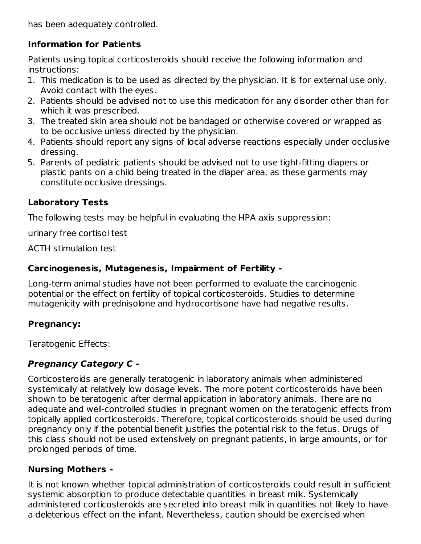has been adequately controlled.

# **Information for Patients**

Patients using topical corticosteroids should receive the following information and instructions:

- 1. This medication is to be used as directed by the physician. It is for external use only. Avoid contact with the eyes.
- 2. Patients should be advised not to use this medication for any disorder other than for which it was prescribed.
- 3. The treated skin area should not be bandaged or otherwise covered or wrapped as to be occlusive unless directed by the physician.
- 4. Patients should report any signs of local adverse reactions especially under occlusive dressing.
- 5. Parents of pediatric patients should be advised not to use tight-fitting diapers or plastic pants on a child being treated in the diaper area, as these garments may constitute occlusive dressings.

## **Laboratory Tests**

The following tests may be helpful in evaluating the HPA axis suppression:

urinary free cortisol test

ACTH stimulation test

# **Carcinogenesis, Mutagenesis, Impairment of Fertility -**

Long-term animal studies have not been performed to evaluate the carcinogenic potential or the effect on fertility of topical corticosteroids. Studies to determine mutagenicity with prednisolone and hydrocortisone have had negative results.

## **Pregnancy:**

Teratogenic Effects:

# **Pregnancy Category C -**

Corticosteroids are generally teratogenic in laboratory animals when administered systemically at relatively low dosage levels. The more potent corticosteroids have been shown to be teratogenic after dermal application in laboratory animals. There are no adequate and well-controlled studies in pregnant women on the teratogenic effects from topically applied corticosteroids. Therefore, topical corticosteroids should be used during pregnancy only if the potential benefit justifies the potential risk to the fetus. Drugs of this class should not be used extensively on pregnant patients, in large amounts, or for prolonged periods of time.

## **Nursing Mothers -**

It is not known whether topical administration of corticosteroids could result in sufficient systemic absorption to produce detectable quantities in breast milk. Systemically administered corticosteroids are secreted into breast milk in quantities not likely to have a deleterious effect on the infant. Nevertheless, caution should be exercised when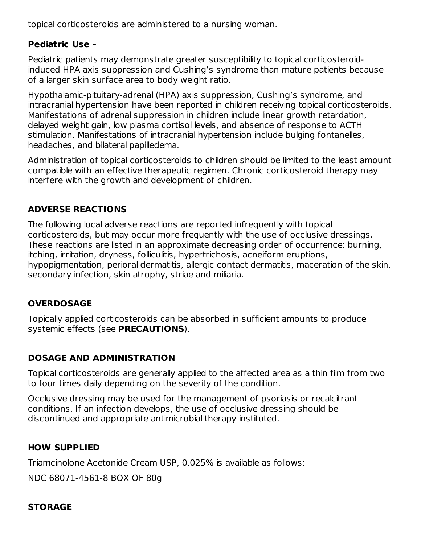topical corticosteroids are administered to a nursing woman.

### **Pediatric Use -**

Pediatric patients may demonstrate greater susceptibility to topical corticosteroidinduced HPA axis suppression and Cushing's syndrome than mature patients because of a larger skin surface area to body weight ratio.

Hypothalamic-pituitary-adrenal (HPA) axis suppression, Cushing's syndrome, and intracranial hypertension have been reported in children receiving topical corticosteroids. Manifestations of adrenal suppression in children include linear growth retardation, delayed weight gain, low plasma cortisol levels, and absence of response to ACTH stimulation. Manifestations of intracranial hypertension include bulging fontanelles, headaches, and bilateral papilledema.

Administration of topical corticosteroids to children should be limited to the least amount compatible with an effective therapeutic regimen. Chronic corticosteroid therapy may interfere with the growth and development of children.

## **ADVERSE REACTIONS**

The following local adverse reactions are reported infrequently with topical corticosteroids, but may occur more frequently with the use of occlusive dressings. These reactions are listed in an approximate decreasing order of occurrence: burning, itching, irritation, dryness, folliculitis, hypertrichosis, acneiform eruptions, hypopigmentation, perioral dermatitis, allergic contact dermatitis, maceration of the skin, secondary infection, skin atrophy, striae and miliaria.

## **OVERDOSAGE**

Topically applied corticosteroids can be absorbed in sufficient amounts to produce systemic effects (see **PRECAUTIONS**).

## **DOSAGE AND ADMINISTRATION**

Topical corticosteroids are generally applied to the affected area as a thin film from two to four times daily depending on the severity of the condition.

Occlusive dressing may be used for the management of psoriasis or recalcitrant conditions. If an infection develops, the use of occlusive dressing should be discontinued and appropriate antimicrobial therapy instituted.

## **HOW SUPPLIED**

Triamcinolone Acetonide Cream USP, 0.025% is available as follows:

NDC 68071-4561-8 BOX OF 80g

## **STORAGE**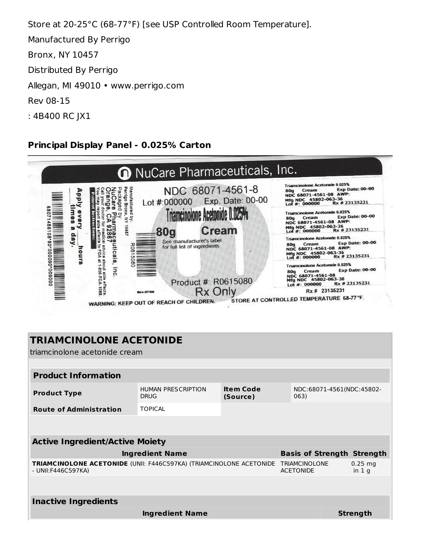Store at 20-25°C (68-77°F) [see USP Controlled Room Temperature].

Manufactured By Perrigo

Bronx, NY 10457

Distributed By Perrigo

Allegan, MI 49010 • www.perrigo.com

Rev 08-15

: 4B400 RC JX1

## **Principal Display Panel - 0.025% Carton**



# **TRIAMCINOLONE ACETONIDE**

triamcinolone acetonide cream

| <b>Product Information</b>                                                                       |                                          |                                      |                                          |                           |                      |  |
|--------------------------------------------------------------------------------------------------|------------------------------------------|--------------------------------------|------------------------------------------|---------------------------|----------------------|--|
| <b>Product Type</b>                                                                              | <b>HUMAN PRESCRIPTION</b><br><b>DRUG</b> | <b>Item Code</b><br>063)<br>(Source) |                                          | NDC:68071-4561(NDC:45802- |                      |  |
| <b>Route of Administration</b>                                                                   | <b>TOPICAL</b>                           |                                      |                                          |                           |                      |  |
|                                                                                                  |                                          |                                      |                                          |                           |                      |  |
| <b>Active Ingredient/Active Moiety</b>                                                           |                                          |                                      |                                          |                           |                      |  |
| <b>Basis of Strength Strength</b><br><b>Ingredient Name</b>                                      |                                          |                                      |                                          |                           |                      |  |
| <b>TRIAMCINOLONE ACETONIDE (UNII: F446C597KA) (TRIAMCINOLONE ACETONIDE</b><br>- UNII:F446C597KA) |                                          |                                      | <b>TRIAMCINOLONE</b><br><b>ACETONIDE</b> |                           | $0.25$ mg<br>in $1q$ |  |
|                                                                                                  |                                          |                                      |                                          |                           |                      |  |
| <b>Inactive Ingredients</b>                                                                      |                                          |                                      |                                          |                           |                      |  |
| Ingredient Name                                                                                  |                                          |                                      |                                          |                           | <b>Strength</b>      |  |
|                                                                                                  |                                          |                                      |                                          |                           |                      |  |